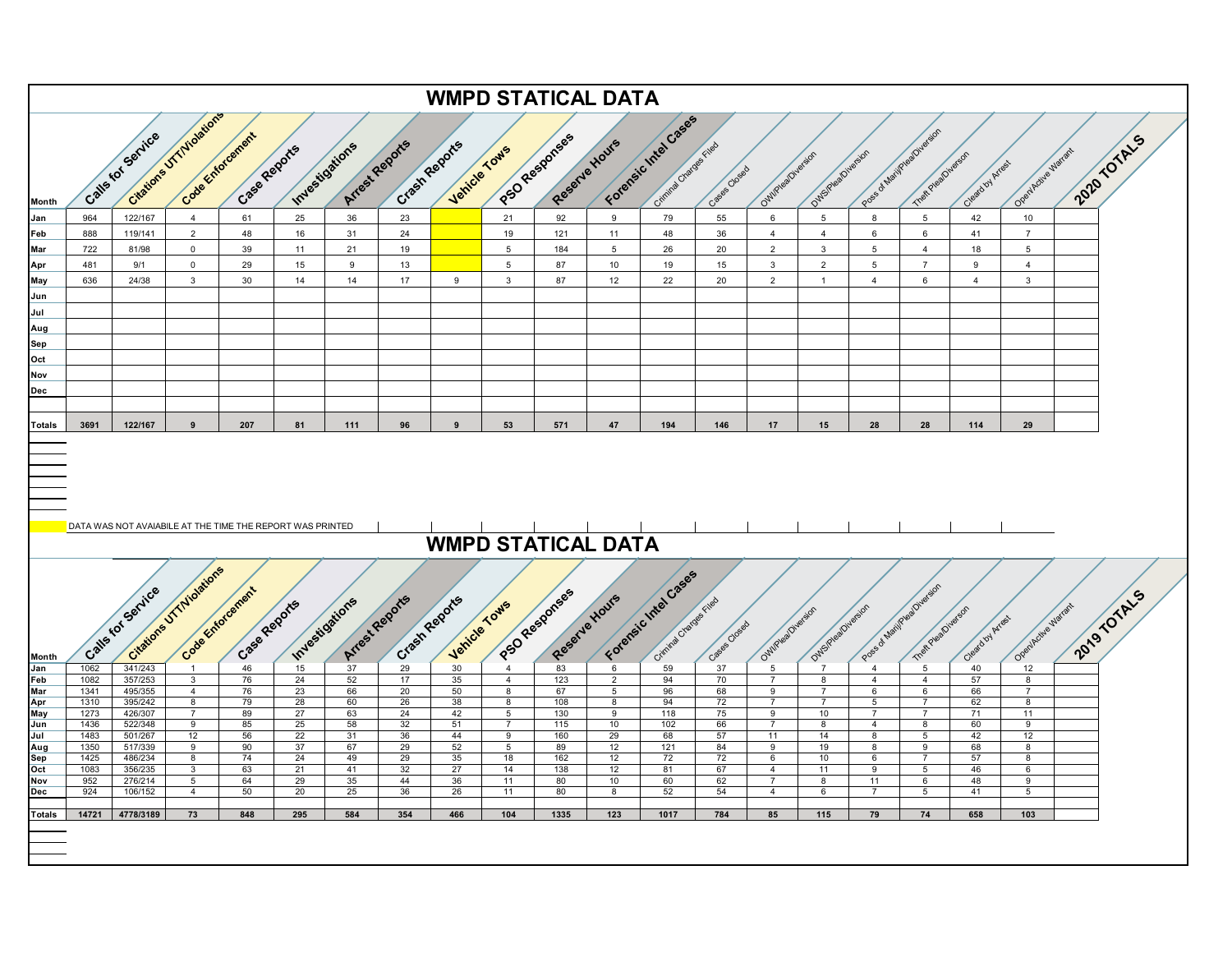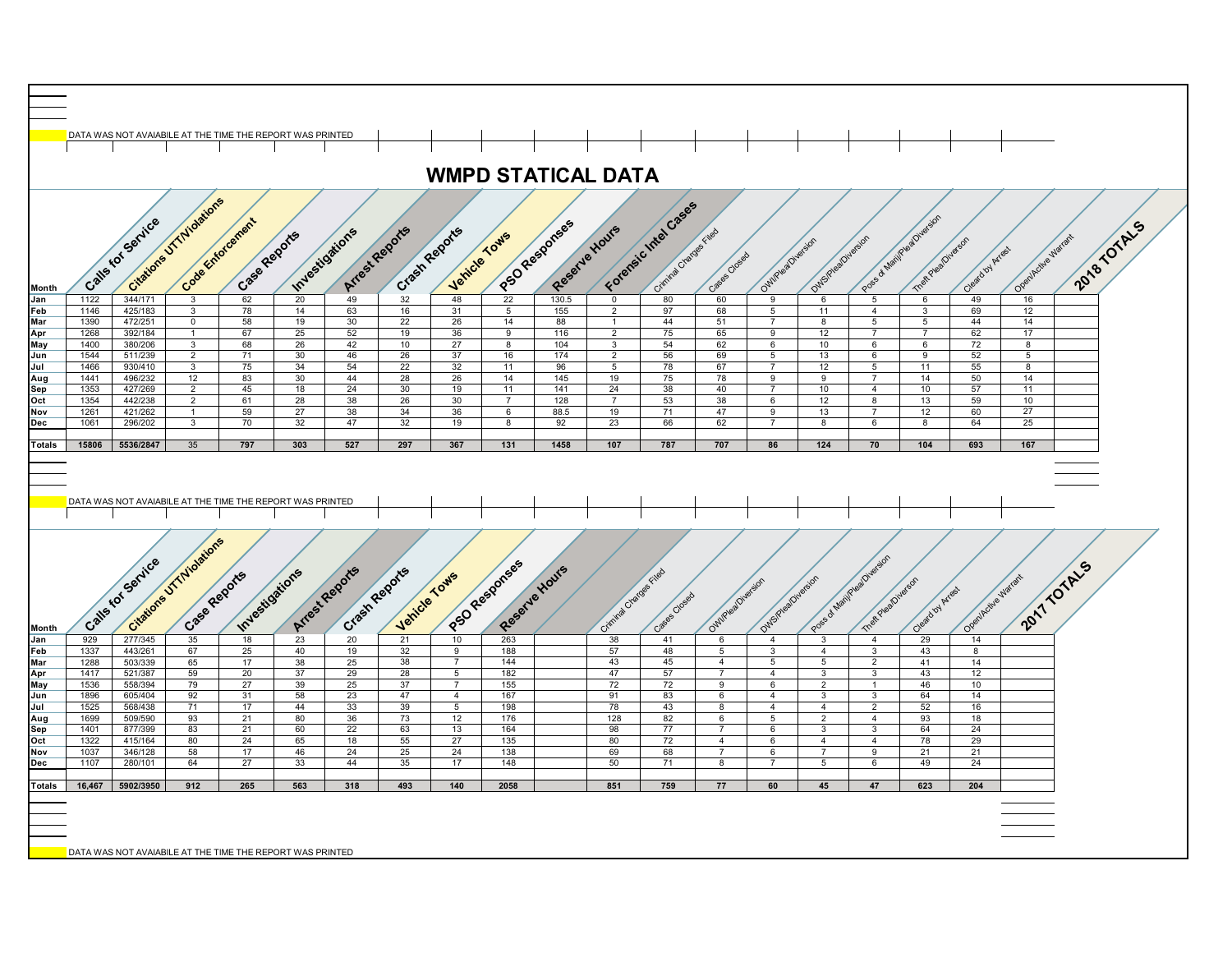